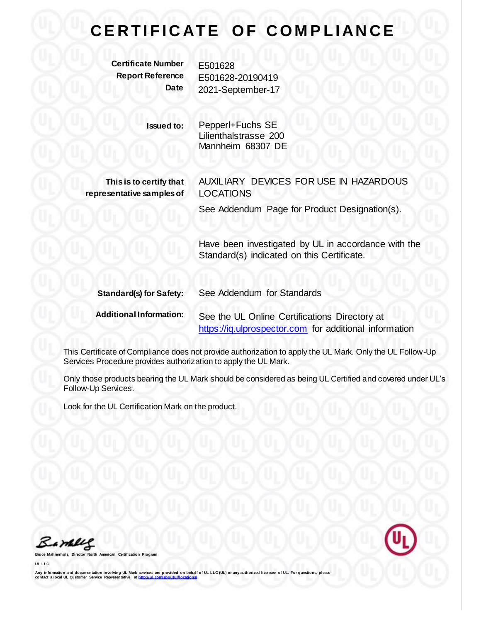## **CERTIFICATE OF COMPLIANCE**

**Certificate Number** E501628

**Report Reference** E501628-20190419 **Date** 2021-September-17

> **Issued to:** Pepperl+Fuchs SE Lilienthalstrasse 200 Mannheim 68307 DE

**This is to certify that representative samples of** AUXILIARY DEVICES FOR USE IN HAZARDOUS LOCATIONS

See Addendum Page for Product Designation(s).

Have been investigated by UL in accordance with the Standard(s) indicated on this Certificate.

| <b>Standard(s) for Safety:</b> | See Addendum for Standards                             |
|--------------------------------|--------------------------------------------------------|
| <b>Additional Information:</b> | See the UL Online Certifications Directory at          |
|                                | https://iq.ulprospector.com for additional information |

This Certificate of Compliance does not provide authorization to apply the UL Mark. Only the UL Follow-Up Services Procedure provides authorization to apply the UL Mark.

Only those products bearing the UL Mark should be considered as being UL Certified and covered under UL's Follow-Up Services.

Look for the UL Certification Mark on the product.

Bamelle

**Bruce Mahrenholz, Director North American Certification Program**

**UL LLC**

Any information and documentation involving UL Mark services are provided on behalf of UL LLC (UL) or any authorized licensee of UL. For questions, please<br>contact a local UL Customer Service Representative at http://ul.com